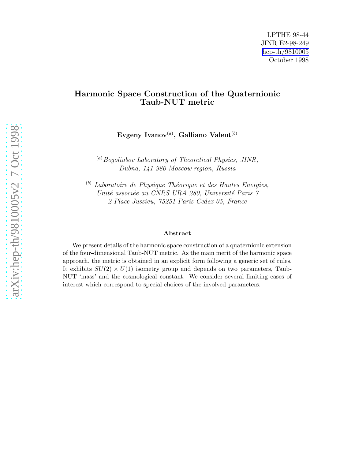#### Harmonic Space Construction of the Quaternionic Taub-NUT metric

Evgeny Ivanov $^{(a)}$ , Galliano Valent $^{(b)}$ 

 $\alpha^{(a)}$ Bogoliubov Laboratory of Theoretical Physics, JINR, Dubna, 141 980 Moscow region, Russia

 $<sup>(b)</sup>$  Laboratoire de Physique Théorique et des Hautes Energies,</sup> Unité associée au CNRS URA 280, Université Paris 7 2 Place Jussieu, 75251 Paris Cedex 05, France

#### Abstract

We present details of the harmonic space construction of a quaternionic extension of the four-dimensional Taub-NUT metric. As the main merit of the harmonic space approach, the metric is obtained in an explicit form following a generic set of rules. It exhibits  $SU(2) \times U(1)$  isometry group and depends on two parameters, Taub-NUT 'mass' and the cosmological constant. We consider several limiting cases of interest which correspond to special choices of the involved parameters.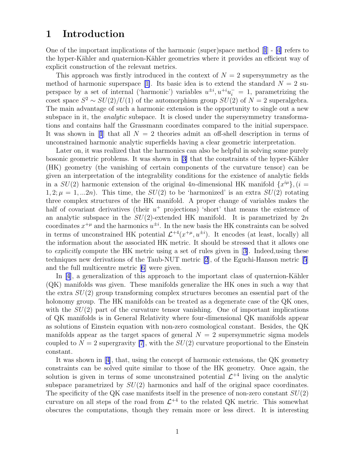## 1 Introduction

One of the important implications of the harmonic (super)space method[[1](#page-20-0)] - [\[4\]](#page-20-0) refers to the hyper-Kähler and quaternion-Kähler geometries where it provides an efficient way of explicit construction of the relevant metrics.

This approach was firstly introduced in the context of  $N = 2$  supersymmetry as the methodof harmonic superspace [[1\]](#page-20-0). Its basic idea is to extend the standard  $N = 2$  superspace by a set of internal ('harmonic') variables  $u^{\pm i}$ ,  $u^{+i}u_i^{-} = 1$ , parametrizing the coset space  $S^2 \sim SU(2)/U(1)$  of the automorphism group  $SU(2)$  of  $N = 2$  superalgebra. The main advantage of such a harmonic extension is the opportunity to single out a new subspace in it, the *analytic* subspace. It is closed under the supersymmetry transformations and contains half the Grassmann coordinates compared to the initial superspace. Itwas shown in [[1](#page-20-0)] that all  $N = 2$  theories admit an off-shell description in terms of unconstrained harmonic analytic superfields having a clear geometric interpretation.

Later on, it was realized that the harmonics can also be helpful in solving some purely bosonic geometric problems. It was shown in  $[3]$  that the constraints of the hyper-Kähler (HK) geometry (the vanishing of certain components of the curvature tensor) can be given an interpretation of the integrability conditions for the existence of analytic fields in a  $SU(2)$  harmonic extension of the original 4n-dimensional HK manifold  $\{x^{i\mu}\},$   $(i =$  $1, 2; \mu = 1, ... 2n$ . This time, the  $SU(2)$  to be 'harmonized' is an extra  $SU(2)$  rotating three complex structures of the HK manifold. A proper change of variables makes the half of covariant derivatives (their  $u^+$  projections) 'short' that means the existence of an analytic subspace in the  $SU(2)$ -extended HK manifold. It is parametrized by  $2n$ coordinates  $x^{+\mu}$  and the harmonics  $u^{\pm i}$ . In the new basis the HK constraints can be solved in terms of unconstrained HK potential  $\mathcal{L}^{+4}(x^{+\mu}, u^{\pm i})$ . It encodes (at least, locally) all the information about the associated HK metric. It should be stressed that it allows one to explicitly compute the HK metric using a set of rules given in[[3\]](#page-20-0). Indeed,using these techniques new derivations of the Taub-NUT metric [\[2](#page-20-0)], of the Eguchi-Hanson metric[[5](#page-20-0)] and the full multicentre metric[[6\]](#page-20-0) were given.

In  $[4]$ , a generalization of this approach to the important class of quaternion-Kähler (QK) manifolds was given. These manifolds generalize the HK ones in such a way that the extra SU(2) group transforming complex structures becomes an essential part of the holonomy group. The HK manifolds can be treated as a degenerate case of the QK ones, with the  $SU(2)$  part of the curvature tensor vanishing. One of important implications of QK manifolds is in General Relativity where four-dimensional QK manifolds appear as solutions of Einstein equation with non-zero cosmological constant. Besides, the QK manifolds appear as the target spaces of general  $N = 2$  supersymmetric sigma models coupled to  $N = 2$  supergravity [\[7](#page-20-0)], with the  $SU(2)$  curvature proportional to the Einstein constant.

It was shown in [\[4\]](#page-20-0), that, using the concept of harmonic extensions, the QK geometry constraints can be solved quite similar to those of the HK geometry. Once again, the solution is given in terms of some unconstrained potential  $\mathcal{L}^{+4}$  living on the analytic subspace parametrized by  $SU(2)$  harmonics and half of the original space coordinates. The specificity of the QK case manifests itself in the presence of non-zero constant  $SU(2)$ curvature on all steps of the road from  $\mathcal{L}^{+4}$  to the related QK metric. This somewhat obscures the computations, though they remain more or less direct. It is interesting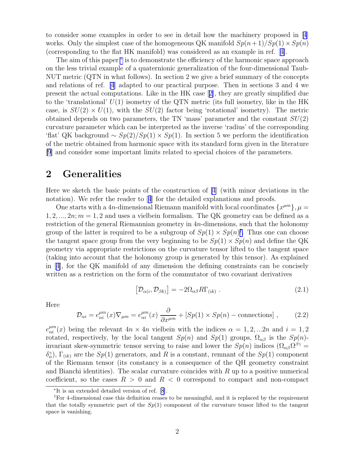<span id="page-2-0"></span>to consider some examples in order to see in detail how the machinery proposed in[[4](#page-20-0)] works. Only the simplest case of the homogeneous QK manifold  $Sp(n+1)/Sp(1) \times Sp(n)$ (corresponding to the flat HK manifold) was considered as an example in ref.[[4\]](#page-20-0).

The aim of this paper  $*$  is to demonstrate the efficiency of the harmonic space approach on the less trivial example of a quaternionic generalization of the four-dimensional Taub-NUT metric (QTN in what follows). In section 2 we give a brief summary of the concepts and relations of ref. [\[4](#page-20-0)] adapted to our practical purpose. Then in sections 3 and 4 we present the actual computations. Like in the HK case[[2\]](#page-20-0), they are greatly simplified due to the 'translational'  $U(1)$  isometry of the QTN metric (its full isometry, like in the HK case, is  $SU(2) \times U(1)$ , with the  $SU(2)$  factor being 'rotational' isometry). The metric obtained depends on two parameters, the TN 'mass' parameter and the constant  $SU(2)$ curvature parameter which can be interpreted as the inverse 'radius' of the corresponding 'flat' QK background  $\sim Sp(2)/Sp(1)\times Sp(1)$ . In section 5 we perform the identification of the metric obtained from harmonic space with its standard form given in the literature [\[9](#page-20-0)] and consider some important limits related to special choices of the parameters.

## 2 Generalities

Here we sketch the basic points of the construction of [\[4](#page-20-0)] (with minor deviations in the notation).We refer the reader to [[4](#page-20-0)] for the detailed explanations and proofs.

One starts with a 4n-dimensional Riemann manifold with local coordinates  $\{x^{\mu m}\}, \mu =$  $1, 2, ..., 2n; m = 1, 2$  and uses a vielbein formalism. The QK geometry can be defined as a restriction of the general Riemannian geometry in  $4n$ -dimensions, such that the holonomy group of the latter is required to be a subgroup of  $Sp(1) \times Sp(n)^{\dagger}$ . Thus one can choose the tangent space group from the very beginning to be  $Sp(1) \times Sp(n)$  and define the QK geometry via appropriate restrictions on the curvature tensor lifted to the tangent space (taking into account that the holonomy group is generated by this tensor). As explained in[[4\]](#page-20-0), for the QK manifold of any dimension the defining constraints can be concisely written as a restriction on the form of the commutator of two covariant derivatives

$$
\left[\mathcal{D}_{\alpha(i)}\,\mathcal{D}_{\beta k)}\right] = -2\Omega_{\alpha\beta}R\Gamma_{(ik)}\,. \tag{2.1}
$$

Here

$$
\mathcal{D}_{\alpha i} = e_{\alpha i}^{\mu m}(x) \nabla_{\mu m} = e_{\alpha i}^{\mu m}(x) \frac{\partial}{\partial x^{\mu m}} + [Sp(1) \times Sp(n) - \text{connections}], \qquad (2.2)
$$

 $e_{\alpha i}^{\mu m}(x)$  being the relevant  $4n \times 4n$  vielbein with the indices  $\alpha = 1, 2, ... 2n$  and  $i = 1, 2$ rotated, respectively, by the local tangent  $Sp(n)$  and  $Sp(1)$  groups,  $\Omega_{\alpha\beta}$  is the  $Sp(n)$ invariant skew-symmetric tensor serving to raise and lower the  $Sp(n)$  indices  $(\Omega_{\alpha\beta}\Omega^{\beta\gamma} =$  $\delta_{\alpha}^{\gamma}$ ,  $\Gamma_{(ik)}$  are the  $Sp(1)$  generators, and R is a constant, remnant of the  $Sp(1)$  component of the Riemann tensor (its constancy is a consequence of the QH geometry constraint and Bianchi identities). The scalar curvature coincides with  $R$  up to a positive numerical coefficient, so the cases  $R > 0$  and  $R < 0$  correspond to compact and non-compact

<sup>∗</sup> It is an extended detailed version of ref. [\[8](#page-20-0)].

<sup>†</sup>For 4-dimensional case this definition ceases to be meaningful, and it is replaced by the requirement that the totally symmetric part of the  $Sp(1)$  component of the curvature tensor lifted to the tangent space is vanishing.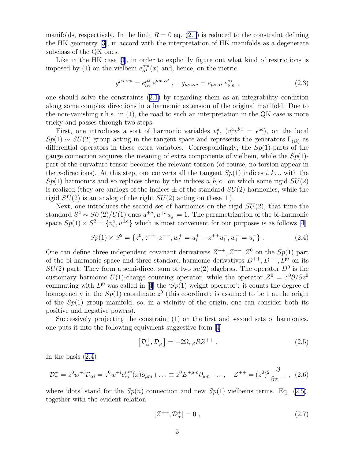<span id="page-3-0"></span>manifolds, respectively. In the limit  $R = 0$  eq. [\(2.1](#page-2-0)) is reduced to the constraint defining the HK geometry[[3\]](#page-20-0), in accord with the interpretation of HK manifolds as a degenerate subclass of the QK ones.

Like in the HK case [\[3\]](#page-20-0), in order to explicitly figure out what kind of restrictions is imposed by (1) on the vielbein  $e_{\alpha i}^{\mu m}(x)$  and, hence, on the metric

$$
g^{\mu s \ \nu m} = e^{\mu s}_{\alpha i} \ e^{\nu m \ \alpha i} \ , \quad g_{\mu s \ \nu m} = e_{\mu s \ \alpha i} \ e^{\alpha i}_{\nu m} \ , \tag{2.3}
$$

one should solve the constraints([2.1\)](#page-2-0) by regarding them as an integrability condition along some complex directions in a harmonic extension of the original manifold. Due to the non-vanishing r.h.s. in  $(1)$ , the road to such an interpretation in the QK case is more tricky and passes through two steps.

First, one introduces a sort of harmonic variables  $v_i^a$ ,  $(v_i^a v^{b i} = \epsilon^{ab})$ , on the local  $Sp(1) \sim SU(2)$  group acting in the tangent space and represents the generators  $\Gamma_{(ik)}$  as differential operators in these extra variables. Correspondingly, the  $Sp(1)$ -parts of the gauge connection acquires the meaning of extra components of vielbein, while the  $Sp(1)$ part of the curvature tensor becomes the relevant torsion (of course, no torsion appear in the x-directions). At this step, one converts all the tangent  $Sp(1)$  indices i, k, ... with the  $Sp(1)$  harmonics and so replaces them by the indices a, b, c.. on which some rigid  $SU(2)$ is realized (they are analogs of the indices  $\pm$  of the standard  $SU(2)$  harmonics, while the rigid  $SU(2)$  is an analog of the right  $SU(2)$  acting on these  $\pm$ ).

Next, one introduces the second set of harmonics on the rigid  $SU(2)$ , that time the standard  $S^2 \sim SU(2)/U(1)$  ones  $u^{\pm a}$ ,  $u^{+a}u^-_a = 1$ . The parametrization of the bi-harmonic space  $Sp(1) \times S^2 = \{v_i^a, u^{\pm a}\}\$  which is most convenient for our purposes is as follows [\[4](#page-20-0)]

$$
Sp(1) \times S^2 = \{z^0, z^{++}, z^{--}, w_i^+ = u_i^+ - z^{++}u_i^-, w_i^- = u_i^-\}.
$$
 (2.4)

One can define three independent covariant derivatives  $Z^{++}$ ,  $Z^{--}$ ,  $Z^0$  on the  $Sp(1)$  part of the bi-harmonic space and three standard harmonic derivatives  $D^{++}$ ,  $D^{--}$ ,  $D^{0}$  on its  $SU(2)$  part. They form a semi-direct sum of two  $su(2)$  algebras. The operator  $D^0$  is the customary harmonic U(1)-charge counting operator, while the operator  $Z^0 = z^0 \partial/\partial z^0$ commutingwith  $D^0$  was called in [[4](#page-20-0)] the 'Sp(1) weight operator': it counts the degree of homogeneity in the  $Sp(1)$  coordinate  $z<sup>0</sup>$  (this coordinate is assumed to be 1 at the origin of the  $Sp(1)$  group manifold, so, in a vicinity of the origin, one can consider both its positive and negative powers).

Successively projecting the constraint (1) on the first and second sets of harmonics, one puts it into the following equivalent suggestive form[[4](#page-20-0)]

$$
\left[\mathcal{D}_{\alpha}^{+}, \mathcal{D}_{\beta}^{+}\right] = -2\Omega_{\alpha\beta} R Z^{++} \tag{2.5}
$$

In the basis  $(2.4)$ 

$$
\mathcal{D}_{\alpha}^{+} = z^{0} w^{+i} \mathcal{D}_{\alpha i} = z^{0} w^{+i} e_{\alpha i}^{\mu m}(x) \partial_{\mu m} + \dots \equiv z^{0} E^{+\mu m} \partial_{\mu m} + \dots, \quad Z^{++} = (z^{0})^{2} \frac{\partial}{\partial z^{-}} , \quad (2.6)
$$

where 'dots' stand for the  $Sp(n)$  connection and new  $Sp(1)$  vielbeins terms. Eq. (2.5), together with the evident relation

$$
[Z^{++}, \mathcal{D}_{\alpha}^+] = 0 \tag{2.7}
$$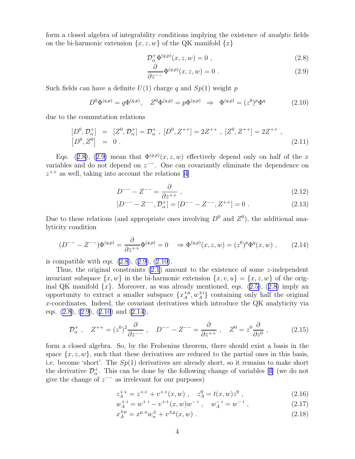<span id="page-4-0"></span>form a closed algebra of integrability conditions implying the existence of *analytic* fields on the bi-harmonic extension  $\{x, z, w\}$  of the QK manifold  $\{x\}$ 

$$
\mathcal{D}_{\alpha}^{+}\Phi^{(q,p)}(x,z,w) = 0 , \qquad (2.8)
$$

$$
\frac{\partial}{\partial z^{-}} \Phi^{(q,p)}(x, z, w) = 0.
$$
 (2.9)

Such fields can have a definite  $U(1)$  charge q and  $Sp(1)$  weight p

$$
D^{0}\Phi^{(q,p)} = q\Phi^{(q,p)}, \quad Z^{0}\Phi^{(q,p)} = p\Phi^{(q,p)} \Rightarrow \Phi^{(q,p)} = (z^{0})^{p}\Phi^{q}
$$
(2.10)

due to the commutation relations

$$
\begin{aligned}\n[D^0, \mathcal{D}^+_{\alpha}] &= [Z^0, \mathcal{D}^+_{\alpha}] = \mathcal{D}^+_{\alpha} \;, \ [D^0, Z^{++}] = 2Z^{++} \;, \ [Z^0, Z^{++}] = 2Z^{++} \;, \\
[D^0, Z^0] &= 0 \;. \end{aligned} \tag{2.11}
$$

Eqs. (2.8), (2.9) mean that  $\Phi^{(q,p)}(x, z, w)$  effectively depend only on half of the x variables and do not depend on  $z^{--}$ . One can covariantly eliminate the dependence on  $z^{++}$ as well, taking into account the relations [[4\]](#page-20-0)

$$
D^{--} - Z^{--} = \frac{\partial}{\partial z^{++}} , \qquad (2.12)
$$

$$
[D^{--} - Z^{--}, \mathcal{D}_{\alpha}^+] = [D^{--} - Z^{--}, Z^{++}] = 0.
$$
 (2.13)

Due to these relations (and appropriate ones involving  $D^0$  and  $Z^0$ ), the additional analyticity condition

$$
(D^{--} - Z^{--})\Phi^{(q,p)} = \frac{\partial}{\partial z^{++}}\Phi^{(q,p)} = 0 \quad \Rightarrow \Phi^{(q,p)}(x,z,w) = (z^0)^p \Phi^q(x,w) , \qquad (2.14)
$$

is compatible with eqs.  $(2.8), (2.9), (2.10)$ .

Thus, the original constraints  $(2.1)$  amount to the existence of some *z*-independent invariant subspace  $\{x, w\}$  in the bi-harmonic extension  $\{x, v, u\} = \{x, z, w\}$  of the orig-inalQK manifold  $\{x\}$ . Moreover, as was already mentioned, eqs. ([2.5\)](#page-3-0), (2.8) imply an opportunity to extract a smaller subspace  $\{x_A^{+\mu}\}$  $\{+\mu, w_A^{\pm i}\}\)$  containing only half the original x-coordinates. Indeed, the covariant derivatives which introduce the QK analyticity via eqs.  $(2.8), (2.9), (2.10)$  and  $(2.14),$ 

$$
\mathcal{D}_{\alpha}^{+} , \quad Z^{++} = (z^{0})^{2} \frac{\partial}{\partial z^{-}} , \quad D^{--} - Z^{--} = \frac{\partial}{\partial z^{++}} , \quad Z^{0} = z^{0} \frac{\partial}{\partial z^{0}} , \quad (2.15)
$$

form a closed algebra. So, by the Frobenius theorem, there should exist a basis in the space  $\{x, z, w\}$ , such that these derivatives are reduced to the partial ones in this basis, i.e. become 'short'. The  $Sp(1)$  derivatives are already short, so it remains to make short thederivative  $\mathcal{D}^+_{\alpha}$ . This can be done by the following change of variables [[4\]](#page-20-0) (we do not give the change of  $z^{--}$  as irrelevant for our purposes)

$$
z_A^{++} = z^{++} + v^{++}(x, w) , \quad z_A^0 = t(x, w)z^0 , \qquad (2.16)
$$

$$
w_A^{+i} = w^{+i} - v^{++}(x, w)w^{-i} , \quad w_A^{-i} = w^{-i} , \tag{2.17}
$$

$$
x_A^{\pm \mu} = x^{\mu \, n} w_n^{\pm} + v^{\pm \mu} (x, w) \,. \tag{2.18}
$$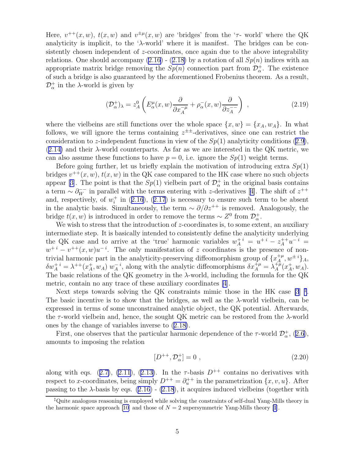<span id="page-5-0"></span>Here,  $v^{++}(x, w)$ ,  $t(x, w)$  and  $v^{\pm \mu}(x, w)$  are 'bridges' from the ' $\tau$ - world' where the QK analyticity is implicit, to the ' $\lambda$ -world' where it is manifest. The bridges can be consistently chosen independent of  $z$ -coordinates, once again due to the above integrability relations.One should accompany  $(2.16)$  -  $(2.18)$  $(2.18)$  by a rotation of all  $Sp(n)$  indices with an appropriate matrix bridge removing the  $Sp(n)$  connection part from  $\mathcal{D}^+_{\alpha}$ . The existence of such a bridge is also guaranteed by the aforementioned Frobenius theorem. As a result,  $\mathcal{D}_{\alpha}^{+}$  in the  $\lambda$ -world is given by

$$
(\mathcal{D}_{\alpha}^{+})_{\lambda} = z_{A}^{0} \left( E_{\alpha}^{\mu}(x, w) \frac{\partial}{\partial x_{A}^{-\mu}} + \rho_{\alpha}^{-}(x, w) \frac{\partial}{\partial z_{A}^{-}} \right) , \qquad (2.19)
$$

where the vielbeins are still functions over the whole space  $\{x, w\} = \{x_A, w_A\}$ . In what follows, we will ignore the terms containing  $z^{\pm\pm}$ -derivatives, since one can restrict the considerationto z-independent functions in view of the  $Sp(1)$  analyticity conditions  $(2.9)$  $(2.9)$ ,  $(2.14)$  $(2.14)$  and their  $\lambda$ -world counterparts. As far as we are interested in the QK metric, we can also assume these functions to have  $p = 0$ , i.e. ignore the  $Sp(1)$  weight terms.

Before going further, let us briefly explain the motivation of introducing extra  $Sp(1)$ bridges  $v^{++}(x, w)$ ,  $t(x, w)$  in the QK case compared to the HK case where no such objects appear[[3\]](#page-20-0). The point is that the  $Sp(1)$  vielbein part of  $\mathcal{D}_{\alpha}^{+}$  in the original basis contains aterm  $\sim \partial_W^{--}$  in parallel with the terms entering with z-derivatives [[4\]](#page-20-0). The shift of  $z^{++}$ and,respectively, of  $w_i^+$  in ([2.16](#page-4-0)), ([2.17](#page-4-0)) is necessary to ensure such term to be absent in the analytic basis. Simultaneously, the term  $\sim \partial/\partial z^{++}$  is removed. Analogously, the bridge  $t(x, w)$  is introduced in order to remove the terms ~  $Z^0$  from  $\mathcal{D}^+_{\alpha}$ .

We wish to stress that the introduction of z-coordinates is, to some extent, an auxiliary intermediate step. It is basically intended to consistently define the analyticity underlying the QK case and to arrive at the 'true' harmonic variables  $w_A^{+i} = u^{+i} - z_A^{++}u^{-i} =$  $w^{+i} - v^{++}(x, w)u^{-i}$ . The only manifestation of z coordinates is the presence of nontrivial harmonic part in the analyticity-preserving diffeomorphism group of  $\{x_{A}^{+\mu}$  $A^{\mu}_{A}, w^{\pm i}\}_A,$  $\delta w_A^+{}^i = \lambda^{++} (x_A^+$  $_{A}^{+},w_{A}) w_{A}^{-i}$  $A^i$ , along with the analytic diffeomorphisms  $\delta x^{\dagger \mu}_A = \lambda^{\dagger \hat{\mu}}_A$  $A^{+\mu} (x_A^+$  $^+_A, w_A$ ). The basic relations of the QK geometry in the  $\lambda$ -world, including the formula for the QK metric, contain no any trace of these auxiliary coordinates [\[4](#page-20-0)].

Next steps towards solving the QK constraints mimic those in the HK case  $[3]$ <sup> $\ddagger$ </sup>. The basic incentive is to show that the bridges, as well as the  $\lambda$ -world vielbein, can be expressed in terms of some unconstrained analytic object, the QK potential. Afterwards, the  $\tau$ -world vielbein and, hence, the sought QK metric can be restored from the  $\lambda$ -world ones by the change of variables inverse to([2.18\)](#page-4-0).

First,one observes that the particular harmonic dependence of the  $\tau$ -world  $\mathcal{D}^{\dagger}_{\alpha}$ , ([2.6\)](#page-3-0), amounts to imposing the relation

$$
[D^{++}, \mathcal{D}^+_{\alpha}] = 0 , \qquad (2.20)
$$

alongwith eqs. ([2.7\)](#page-3-0), [\(2.11](#page-4-0)), ([2.13\)](#page-4-0). In the  $\tau$ -basis  $D^{++}$  contains no derivatives with respect to x-coordinates, being simply  $D^{++} = \partial_u^{++}$  in the parametrization  $\{x, v, u\}$ . After passing to the  $\lambda$ -basis by eqs. [\(2.16\)](#page-4-0) - [\(2.18](#page-4-0)), it acquires induced vielbeins (together with

<sup>‡</sup>Quite analogous reasoning is employed while solving the constraints of self-dual Yang-Mills theory in the harmonic space approach [\[10](#page-20-0)] and those of  $N = 2$  supersymmetric Yang-Mills theory [\[1](#page-20-0)].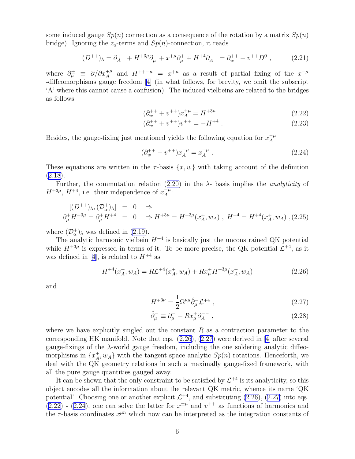<span id="page-6-0"></span>some induced gauge  $Sp(n)$  connection as a consequence of the rotation by a matrix  $Sp(n)$ bridge). Ignoring the  $z_a$ -terms and  $Sp(n)$ -connection, it reads

$$
(D^{++})_{\lambda} = \partial_A^{++} + H^{+3\mu}\partial_{\mu}^- + x^{+\mu}\partial_{\mu}^+ + H^{+4}\partial_A^{--} = \partial_w^{++} + v^{++}D^0 ,\qquad (2.21)
$$

where  $\partial_{\mu}^{\pm} \equiv \partial/\partial x_{A}^{\mp \mu}$  and  $H^{++-\mu} = x^{+\mu}$  as a result of partial fixing of the  $x^{-\mu}$ -diffeomorphisms gauge freedom[[4\]](#page-20-0) (in what follows, for brevity, we omit the subscript 'A' where this cannot cause a confusion). The induced vielbeins are related to the bridges as follows

$$
(\partial_w^{++} + v^{++})x_A^{+\mu} = H^{+3\mu} \tag{2.22}
$$

$$
(\partial_w^{++} + v^{++})v^{++} = -H^{+4} \tag{2.23}
$$

Besides, the gauge-fixing just mentioned yields the following equation for  $x_A^{-\mu}$ A

$$
(\partial_w^{++} - v^{++})x_A^{-\mu} = x_A^{+\mu} \tag{2.24}
$$

These equations are written in the  $\tau$ -basis  $\{x, w\}$  with taking account of the definition  $(2.18).$  $(2.18).$  $(2.18).$ 

Further,the commutation relation ([2.20\)](#page-5-0) in the  $\lambda$ - basis implies the *analyticity* of  $H^{+3\mu}$ ,  $H^{+4}$ , i.e. their independence of  $x_A^{-\mu}$  $A^{\mu}$ :

$$
[(D^{++})_{\lambda}, (\mathcal{D}_{\alpha}^+ )_{\lambda}] = 0 \Rightarrow
$$
  
\n
$$
\partial_{\mu}^+ H^{+3\mu} = \partial_{\mu}^+ H^{+4} = 0 \Rightarrow H^{+3\mu} = H^{+3\mu} (x_A^+, w_A) , H^{+4} = H^{+4} (x_A^+, w_A) , (2.25)
$$

where  $(\mathcal{D}_{\alpha}^{+})_{\lambda}$  was defined in [\(2.19\)](#page-5-0).

The analytic harmonic vielbein  $H^{+4}$  is basically just the unconstrained QK potential while  $H^{+3\mu}$  is expressed in terms of it. To be more precise, the QK potential  $\mathcal{L}^{+4}$ , as it wasdefined in [[4\]](#page-20-0), is related to  $H^{+4}$  as

$$
H^{+4}(x_A^+, w_A) = R\mathcal{L}^{+4}(x_A^+, w_A) + Rx_\mu^+ H^{+3\mu}(x_A^+, w_A)
$$
\n(2.26)

and

$$
H^{+3\nu} = \frac{1}{2} \Omega^{\nu\mu} \hat{\partial}^-_{\mu} \mathcal{L}^{+4} , \qquad (2.27)
$$

$$
\hat{\partial}_{\mu}^{-} \equiv \partial_{\mu}^{-} + R x_{\mu}^{+} \partial_{A}^{-} , \qquad (2.28)
$$

where we have explicitly singled out the constant  $R$  as a contraction parameter to the corresponding HK manifold. Note that eqs.  $(2.26)$ ,  $(2.27)$  were derived in [\[4](#page-20-0)] after several gauge-fixings of the  $\lambda$ -world gauge freedom, including the one soldering analytic diffeomorphisms in  $\{x_A^+\}$  $A, w_A$  with the tangent space analytic  $Sp(n)$  rotations. Henceforth, we deal with the QK geometry relations in such a maximally gauge-fixed framework, with all the pure gauge quantities gauged away.

It can be shown that the only constraint to be satisfied by  $\mathcal{L}^{+4}$  is its analyticity, so this object encodes all the information about the relevant QK metric, whence its name 'QK potential'. Choosing one or another explicit  $\mathcal{L}^{+4}$ , and substituting (2.26), (2.27) into eqs.  $(2.22)$  -  $(2.24)$ , one can solve the latter for  $x^{\pm \mu}$  and  $v^{++}$  as functions of harmonics and the  $\tau$ -basis coordinates  $x^{\mu n}$  which now can be interpreted as the integration constants of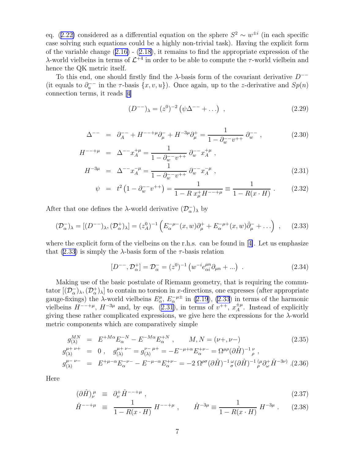<span id="page-7-0"></span>eq.([2.22\)](#page-6-0) considered as a differential equation on the sphere  $S^2 \sim w^{\pm i}$  (in each specific case solving such equations could be a highly non-trivial task). Having the explicit form of the variable change([2.16\)](#page-4-0) -([2.18\)](#page-4-0), it remains to find the appropriate expression of the λ-world vielbeins in terms of  $\mathcal{L}^{+4}$  in order to be able to compute the τ-world vielbein and hence the QK metric itself.

To this end, one should firstly find the  $\lambda$ -basis form of the covariant derivative  $D^{--}$ (it equals to  $\partial_u^{--}$  in the  $\tau$ -basis  $\{x, v, u\}$ ). Once again, up to the *z*-derivative and  $Sp(n)$ connection terms, it reads [\[4\]](#page-20-0)

$$
(D^{--})_{\lambda} = (z^0)^{-2} (\psi \Delta^{--} + \ldots) , \qquad (2.29)
$$

$$
\Delta^{--} = \partial_A^{--} + H^{--+\mu} \partial_\mu^- + H^{-3\mu} \partial_\mu^+ = \frac{1}{1 - \partial_w^{--} v^{++}} \partial_w^{--} , \qquad (2.30)
$$

$$
H^{--+\mu} = \Delta^{--} x_A^{+\mu} = \frac{1}{1 - \partial_w^{--} v^{++}} \partial_w^{--} x_A^{+\mu},
$$
  

$$
H^{-3\mu} = \Delta^{--} x_A^{-\mu} = \frac{1}{1 - \partial_w^{--} v^{++}} \partial_w^{--} x_A^{-\mu},
$$
(2.31)

$$
\psi = t^2 \left( 1 - \partial_{w}^{-} - v^{++} \right) = \frac{1}{1 - R x_{\mu}^{+} H^{-- + \mu}} \equiv \frac{1}{1 - R(x \cdot H)} \ . \tag{2.32}
$$

After that one defines the  $\lambda$ -world derivative  $(\mathcal{D}_{\alpha}^-)_{\lambda}$  by

$$
(\mathcal{D}_{\alpha}^{-})_{\lambda} = [(D^{--})_{\lambda}, (\mathcal{D}_{\alpha}^{+})_{\lambda}] = (z_{A}^{0})^{-1} \left( E_{\alpha}^{-\mu -}(x, w)\partial_{\mu}^{+} + E_{\alpha}^{-\mu +}(x, w)\hat{\partial}_{\mu}^{-} + \ldots \right) , \quad (2.33)
$$

wherethe explicit form of the vielbeins on the r.h.s. can be found in [[4\]](#page-20-0). Let us emphasize that (2.33) is simply the  $\lambda$ -basis form of the  $\tau$ -basis relation

$$
[D^{--}, \mathcal{D}_{\alpha}^+] = \mathcal{D}_{\alpha}^- = (z^0)^{-1} \left( w^{-i} e_{\alpha i}^{\mu n} \partial_{\mu n} + \ldots \right) \ . \tag{2.34}
$$

Making use of the basic postulate of Riemann geometry, that is requiring the commutator  $[(\mathcal{D}_{\alpha}^-)_{\lambda},(\mathcal{D}_{\alpha}^+)_{\lambda}]$  to contain no torsion in x-directions, one expresses (after appropriate gauge-fixings) the  $\lambda$ -world vielbeins  $E^{\mu}_{\alpha}$ ,  $E^{-\mu \pm}_{\alpha}$  in [\(2.19](#page-5-0)), (2.33) in terms of the harmonic vielbeins  $H^{--+\mu}$ ,  $H^{-3\mu}$  and, by eqs. (2.31), in terms of  $v^{++}$ ,  $x_A^{\pm \mu}$  $A^{\pm \mu}$ . Instead of explicitly giving these rather complicated expressions, we give here the expressions for the λ-world metric components which are comparatively simple

$$
g_{(\lambda)}^{MN} = E^{+M\alpha} E_{\alpha}^{-N} - E^{-M\alpha} E_{\alpha}^{+N}, \qquad M, N = (\nu +, \nu -)
$$
\n
$$
g_{(\lambda)}^{\mu + \nu +} = 0, \qquad g_{(\lambda)}^{\mu + \nu -} = g_{(\lambda)}^{\nu - \mu +} = -E^{-\mu + \alpha} E_{\alpha}^{+ \nu -} = \Omega^{\mu \rho} (\partial \hat{H})^{-1}{}_{\rho}^{\nu},
$$
\n
$$
g_{(\lambda)}^{\mu - \nu -} = E^{+\mu - \alpha} E_{\alpha}^{-\nu -} - E^{-\mu - \alpha} E_{\alpha}^{+ \nu -} = -2 \Omega^{\rho \sigma} (\partial \hat{H})^{-1}{}_{\sigma}^{\omega} (\partial \hat{H})^{-1}{}_{\rho}^{\mu} \partial_{\omega}^{+} \hat{H}^{-3\nu} .
$$
\n(2.36)

Here

$$
(\partial \hat{H})^{\mu}_{\nu} \equiv \partial_{\nu}^{+} \hat{H}^{--+\mu} \,, \tag{2.37}
$$

$$
\hat{H}^{--+\mu} \equiv \frac{1}{1 - R(x \cdot H)} H^{--+\mu} , \qquad \hat{H}^{-3\mu} \equiv \frac{1}{1 - R(x \cdot H)} H^{-3\mu} . \tag{2.38}
$$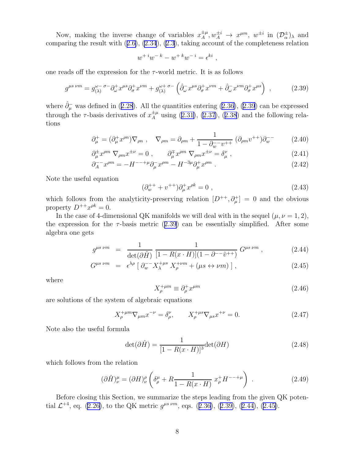<span id="page-8-0"></span>Now, making the inverse change of variables  $x_A^{\pm \mu}$  $x_A^{\pm \mu}, w_A^{\pm i} \rightarrow x^{\mu m}, w^{\pm i}$  in  $(\mathcal{D}_{\alpha}^{\pm})_{\lambda}$  and comparing the result with([2.6\)](#page-3-0), [\(2.34](#page-7-0)), [\(2.3](#page-3-0)), taking account of the completeness relation

$$
w^{+ i} w^{- k} - w^{+ k} w^{- i} = \epsilon^{k i} ,
$$

one reads off the expression for the  $\tau$ -world metric. It is as follows

$$
g^{\mu s \nu m} = g_{(\lambda)}^{\omega - \sigma -} \partial_{\omega}^+ x^{\mu s} \partial_{\sigma}^+ x^{\nu m} + g_{(\lambda)}^{\omega + \sigma -} \left( \hat{\partial}_{\omega}^- x^{\mu s} \partial_{\sigma}^+ x^{\nu m} + \hat{\partial}_{\omega}^- x^{\nu m} \partial_{\sigma}^+ x^{\mu s} \right) , \qquad (2.39)
$$

where $\hat{\partial}_{\mu}^{-}$  was defined in ([2.28](#page-6-0)). All the quantities entering ([2.36\)](#page-7-0), (2.39) can be expressed throughthe  $\tau$ -basis derivatives of  $x_A^{\pm \mu}$  using [\(2.31\)](#page-7-0), [\(2.37](#page-7-0)), ([2.38](#page-7-0)) and the following relations

$$
\partial_{\mu}^{+} = (\partial_{\mu}^{+} x^{\rho n}) \nabla_{\rho n} , \quad \nabla_{\rho m} = \partial_{\rho m} + \frac{1}{1 - \partial_{w}^{-} v^{++}} (\partial_{\rho m} v^{++}) \partial_{w}^{-} \tag{2.40}
$$

$$
\partial_{\mu}^{\pm} x^{\rho m} \nabla_{\rho m} x^{\pm \nu} = 0 , \qquad \partial_{\mu}^{\mp} x^{\rho m} \nabla_{\rho m} x^{\pm \nu} = \delta_{\mu}^{\nu} , \qquad (2.41)
$$

$$
\partial_A^{-} x^{\rho m} = -H^{--+\mu} \partial_\mu^{-} x^{\rho m} - H^{-3\mu} \partial_\mu^{+} x^{\rho m} . \tag{2.42}
$$

Note the useful equation

$$
(\partial_w^{++} + v^{++})\partial_\mu^+ x^{\rho k} = 0 , \qquad (2.43)
$$

which follows from the analyticity-preserving relation  $[D^{++}, \partial^+_\mu] = 0$  and the obvious property  $D^{++}x^{\rho k}=0$ .

In the case of 4-dimensional QK manifolds we will deal with in the sequel  $(\mu, \nu = 1, 2)$ , the expression for the  $\tau$ -basis metric (2.39) can be essentially simplified. After some algebra one gets

$$
g^{\mu s \ \nu m} = \frac{1}{\det(\partial \hat{H})} \frac{1}{[1 - R(x \cdot H)](1 - \partial^{-1} \tilde{v}^{++})} G^{\mu s \ \nu m}, \qquad (2.44)
$$

$$
G^{\mu s \ \nu m} = \epsilon^{\lambda \rho} \left[ \partial_w^{\nu -} X_{\lambda}^{+\mu s} \ X_{\rho}^{+\nu m} + (\mu s \leftrightarrow \nu m) \right], \tag{2.45}
$$

where

$$
X_{\rho}^{+\mu m} \equiv \partial_{\rho}^{+} x^{\mu m} \tag{2.46}
$$

are solutions of the system of algebraic equations

$$
X_{\rho}^{+\mu m} \nabla_{\mu m} x^{-\nu} = \delta_{\rho}^{\nu}, \qquad X_{\rho}^{+\mu s} \nabla_{\mu s} x^{+\nu} = 0.
$$
 (2.47)

Note also the useful formula

$$
\det(\partial \hat{H}) = \frac{1}{[1 - R(x \cdot H)]^3} \det(\partial H)
$$
\n(2.48)

which follows from the relation

$$
(\partial \hat{H})^{\mu}_{\nu} = (\partial H)^{\rho}_{\nu} \left( \delta^{\mu}_{\rho} + R \frac{1}{1 - R(x \cdot H)} x^+_{\rho} H^{---+\mu} \right) \tag{2.49}
$$

Before closing this Section, we summarize the steps leading from the given QK poten-tial $\mathcal{L}^{+4}$ , eq. ([2.26\)](#page-6-0), to the QK metric  $g^{\mu s \ \nu m}$ , eqs. ([2.36\)](#page-7-0), (2.39), (2.44), (2.45).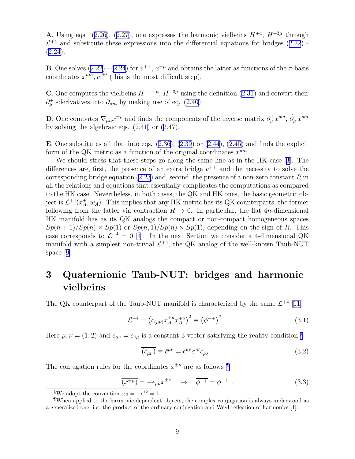<span id="page-9-0"></span>**A**.Using eqs.  $(2.26)$  $(2.26)$  $(2.26)$ ,  $(2.27)$  $(2.27)$ , one expresses the harmonic vielbeins  $H^{+4}$ ,  $H^{+3\mu}$  through  $\mathcal{L}^{+4}$ and substitute these expressions into the differential equations for bridges ([2.22](#page-6-0)) - $(2.24).$  $(2.24).$  $(2.24).$ 

**B**.One solves  $(2.22)$  $(2.22)$  -  $(2.24)$  $(2.24)$  for  $v^{++}$ ,  $x^{\pm \mu}$  and obtains the latter as functions of the  $\tau$ -basis coordinates  $x^{\mu m}, w^{\pm i}$  (this is the most difficult step).

C.One computes the vielbeins  $H^{--+\mu}$ ,  $H^{-3\mu}$  using the definition ([2.31\)](#page-7-0) and convert their  $\partial^{\dagger}_{\mu}$  -derivatives into  $\partial_{\mu m}$  by making use of eq. [\(2.40](#page-8-0)).

**D**. One computes  $\nabla_{\mu n} x^{\pm \rho}$  and finds the components of the inverse matrix  $\partial_{\mu}^{+} x^{\rho m}$ ,  $\hat{\partial}_{\mu}^{-} x^{\rho m}$ by solving the algebraic eqs. [\(2.41](#page-8-0)) or([2.47](#page-8-0)).

E. One substitutes all that into eqs.  $(2.36)$ ,  $(2.39)$  or  $(2.44)$ ,  $(2.45)$  and finds the explicit form of the QK metric as a function of the original coordinates  $x^{\mu m}$ .

We should stress that these steps go along the same line as in the HK case[[3\]](#page-20-0). The differences are, first, the presence of an extra bridge  $v^{++}$  and the necessity to solve the corresponding bridge equation  $(2.23)$  and, second, the presence of a non-zero constant R in all the relations and equations that essentially complicates the computations as compared to the HK case. Nevertheless, in both cases, the QK and HK ones, the basic geometric object is  $\mathcal{L}^{+4}(x_A^+)$  $_A^+, w_A$ ). This implies that any HK metric has its QK counterparts, the former following from the latter via contraction  $R \to 0$ . In particular, the flat 4n-dimensional HK manifold has as its QK analogs the compact or non-compact homogeneous spaces  $Sp(n+1)/Sp(n) \times Sp(1)$  or  $Sp(n,1)/Sp(n) \times Sp(1)$ , depending on the sign of R. This casecorresponds to  $\mathcal{L}^{+4} = 0$  $\mathcal{L}^{+4} = 0$  $\mathcal{L}^{+4} = 0$  [4]. In the next Section we consider a 4-dimensional QK manifold with a simplest non-trivial  $\mathcal{L}^{+4}$ , the QK analog of the well-known Taub-NUT space[[9\]](#page-20-0).

# 3 Quaternionic Taub-NUT: bridges and harmonic vielbeins

The QK counterpart of the Taub-NUT manifold is characterized by the same  $\mathcal{L}^{+4}$  [\[11\]](#page-20-0)

$$
\mathcal{L}^{+4} = \left( c_{(\mu\nu)} x_A^{+\mu} x_A^{+\nu} \right)^2 \equiv \left( \phi^{++} \right)^2 \ . \tag{3.1}
$$

Here  $\mu, \nu = (1, 2)$  and  $c_{\mu\nu} = c_{\nu\mu}$  is a constant 3-vector satisfying the reality condition  $\frac{8}{3}$ 

$$
\overline{(c_{\mu\nu})} \equiv \overline{c}^{\mu\nu} = \epsilon^{\mu\rho} \epsilon^{\nu\sigma} c_{\rho\sigma} \ . \tag{3.2}
$$

The conjugation rules for the coordinates  $x^{\pm \mu}$  are as follows

$$
\overline{(x^{\pm \mu})} = -\epsilon_{\mu\nu} x^{\pm \nu} \quad \rightarrow \quad \overline{\phi^{++}} = \phi^{++} \ . \tag{3.3}
$$

<sup>&</sup>lt;sup>§</sup>We adopt the convention  $\epsilon_{12} = -\epsilon^{12} = 1$ .

<sup>¶</sup>When applied to the harmonic-dependent objects, the complex conjugation is always understood as a generalized one, i.e. the product of the ordinary conjugation and Weyl reflection of harmonics[[1\]](#page-20-0).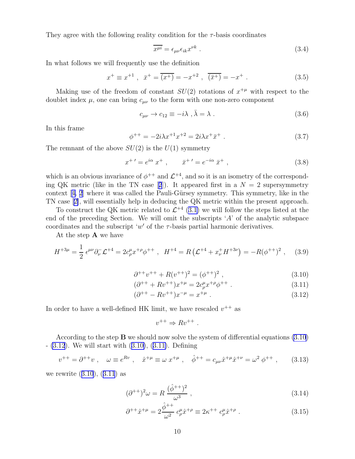<span id="page-10-0"></span>They agree with the following reality condition for the  $\tau$ -basis coordinates

$$
\overline{x^{\mu i}} = \epsilon_{\mu\nu}\epsilon_{ik}x^{\nu k} \tag{3.4}
$$

In what follows we will frequently use the definition

$$
x^+ \equiv x^{+1}
$$
,  $\bar{x}^+ = \overline{(x^+)} = -x^{+2}$ ,  $\overline{(\bar{x}^+)} = -x^+$ . (3.5)

Making use of the freedom of constant  $SU(2)$  rotations of  $x^{+\mu}$  with respect to the doublet index  $\mu$ , one can bring  $c_{\mu\nu}$  to the form with one non-zero component

$$
c_{\mu\nu} \to c_{12} \equiv -i\lambda \ , \bar{\lambda} = \lambda \ . \tag{3.6}
$$

In this frame

$$
\phi^{++} = -2i\lambda x^{+1} x^{+2} = 2i\lambda x^{+} \bar{x}^{+} . \tag{3.7}
$$

The remnant of the above  $SU(2)$  is the  $U(1)$  symmetry

$$
x^{+}{}' = e^{i\alpha} x^{+} , \qquad \bar{x}^{+}{}' = e^{-i\alpha} \bar{x}^{+} , \qquad (3.8)
$$

which is an obvious invariance of  $\phi^{++}$  and  $\mathcal{L}^{+4}$ , and so it is an isometry of the correspond-ingQK metric (like in the TN case [[2](#page-20-0)]). It appeared first in a  $N = 2$  supersymmetry context $[4, 2]$  $[4, 2]$  $[4, 2]$  where it was called the Pauli-Gürsey symmetry. This symmetry, like in the TN case[[2\]](#page-20-0), will essentially help in deducing the QK metric within the present approach.

To construct the QK metric related to  $\mathcal{L}^{+4}$  ([3.1\)](#page-9-0) we will follow the steps listed at the end of the preceding Section. We will omit the subscripts  $A'$  of the analytic subspace coordinates and the subscript ' $w'$  of the  $\tau$ -basis partial harmonic derivatives.

At the step A we have

$$
H^{+3\mu} = \frac{1}{2} \epsilon^{\mu\nu} \partial_{\nu}^{-} \mathcal{L}^{+4} = 2c_{\rho}^{\mu} x^{+\rho} \phi^{++} , \quad H^{+4} = R \left( \mathcal{L}^{+4} + x_{\nu}^{+} H^{+3\nu} \right) = -R(\phi^{++})^2 , \quad (3.9)
$$

$$
\partial^{++}v^{++} + R(v^{++})^2 = (\phi^{++})^2 , \qquad (3.10)
$$

$$
(\partial^{++} + Rv^{++})x^{+\mu} = 2c^{\mu}_{\rho}x^{+\rho}\phi^{++} \tag{3.11}
$$

$$
(\partial^{++} - Rv^{++})x^{-\mu} = x^{+\mu} . \tag{3.12}
$$

In order to have a well-defined HK limit, we have rescaled  $v^{++}$  as

$$
v^{++} \Rightarrow Rv^{++} .
$$

According to the step  $\bf{B}$  we should now solve the system of differential equations (3.10) - (3.12). We will start with (3.10), (3.11). Defining

$$
v^{++} = \partial^{++}v \ , \quad \omega \equiv e^{Rv} \ , \quad \hat{x}^{+\mu} \equiv \omega \ x^{+\mu} \ , \quad \hat{\phi}^{++} = c_{\mu\nu}\hat{x}^{+\mu}\hat{x}^{+\nu} = \omega^2 \ \phi^{++} \ , \tag{3.13}
$$

we rewrite (3.10), (3.11) as

$$
(\partial^{++})^2 \omega = R \frac{(\hat{\phi}^{++})^2}{\omega^3} , \qquad (3.14)
$$

$$
\partial^{++}\hat{x}^{+\mu} = 2\frac{\hat{\phi}^{++}}{\omega^2} c^{\mu}_{\rho}\hat{x}^{+\rho} \equiv 2\kappa^{++} c^{\mu}_{\rho}\hat{x}^{+\rho} . \tag{3.15}
$$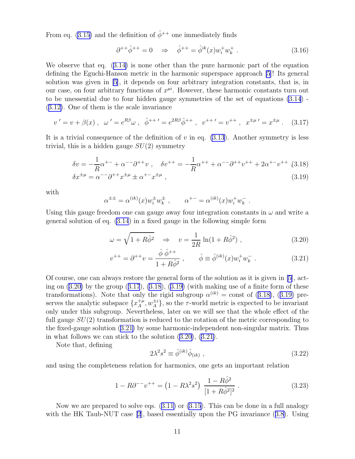<span id="page-11-0"></span>From eq. [\(3.15](#page-10-0)) and the definition of  $\hat{\phi}^{++}$  one immediately finds

$$
\partial^{++}\hat{\phi}^{++} = 0 \quad \Rightarrow \quad \hat{\phi}^{++} = \hat{\phi}^{ik}(x)w_i^+w_k^+ \ . \tag{3.16}
$$

We observe that eq.([3.14\)](#page-10-0) is none other than the pure harmonic part of the equation defining the Eguchi-Hanson metric in the harmonic superspace approach [\[5](#page-20-0)]! Its general solution was given in [\[5](#page-20-0)], it depends on four arbitrary integration constants, that is, in our case, on four arbitrary functions of  $x^{\mu i}$ . However, these harmonic constants turn out to be unessential due to four hidden gauge symmetries of the set of equations [\(3.14](#page-10-0)) - ([3.12\)](#page-10-0). One of them is the scale invariance

$$
v' = v + \beta(x) , \quad \omega' = e^{R\beta} \omega , \quad \hat{\phi}^{++'} = e^{2R\beta} \hat{\phi}^{++} , \quad v^{++'} = v^{++} , \quad x^{\pm \mu'} = x^{\pm \mu} . \tag{3.17}
$$

It is a trivial consequence of the definition of  $v$  in eq. [\(3.13](#page-10-0)). Another symmetry is less trivial, this is a hidden gauge  $SU(2)$  symmetry

$$
\delta v = -\frac{1}{R}\alpha^{+-} + \alpha^{--}\partial^{++}v \ , \quad \delta v^{++} = -\frac{1}{R}\alpha^{++} + \alpha^{--}\partial^{++}v^{++} + 2\alpha^{+-}v^{++} \ , (3.18)
$$

$$
\delta x^{\pm \mu} = \alpha^{- -} \partial^{++} x^{\pm \mu} \pm \alpha^{+-} x^{\pm \mu} \,, \tag{3.19}
$$

with

$$
\alpha^{\pm \pm} = \alpha^{(ik)}(x) w_i^{\pm} w_k^{\pm} , \qquad \alpha^{+-} = \alpha^{(ik)}(x) w_i^+ w_k^- .
$$

Using this gauge freedom one can gauge away four integration constants in  $\omega$  and write a general solution of eq. [\(3.14](#page-10-0)) in a fixed gauge in the following simple form

$$
\omega = \sqrt{1 + R\hat{\phi}^2} \quad \Rightarrow \quad v = \frac{1}{2R} \ln(1 + R\hat{\phi}^2) \tag{3.20}
$$

$$
v^{++} = \partial^{++}v = \frac{\hat{\phi}\ \hat{\phi}^{++}}{1 + R\hat{\phi}^2} \ , \qquad \hat{\phi} \equiv \hat{\phi}^{(ik)}(x)w_i^+w_k^- \ . \tag{3.21}
$$

Of course, one can always restore the general form of the solution as it is given in [\[5](#page-20-0)], acting on  $(3.20)$  by the group  $(3.17)$ ,  $(3.18)$ ,  $(3.19)$  (with making use of a finite form of these transformations). Note that only the rigid subgroup  $\alpha^{(ik)} = \text{const}$  of (3.18), (3.19) preserves the analytic subspace  $\{x_A^{+\mu}$  ${}_{A}^{+\mu}, w_{A}^{\pm i}$ , so the  $\tau$ -world metric is expected to be invariant only under this subgroup. Nevertheless, later on we will see that the whole effect of the full gauge  $SU(2)$  transformation is reduced to the rotation of the metric corresponding to the fixed-gauge solution (3.21) by some harmonic-independent non-singular matrix. Thus in what follows we can stick to the solution (3.20), (3.21).

Note that, defining

$$
2\lambda^2 s^2 \equiv \hat{\phi}^{(ik)} \hat{\phi}_{(ik)} , \qquad (3.22)
$$

and using the completeness relation for harmonics, one gets an important relation

$$
1 - R\partial^{-} v^{++} = \left(1 - R\lambda^2 s^2\right) \frac{1 - R\hat{\phi}^2}{[1 + R\hat{\phi}^2]^2} \,. \tag{3.23}
$$

Now we are prepared to solve eqs.([3.11\)](#page-10-0) or [\(3.15\)](#page-10-0). This can be done in a full analogy with the HK Taub-NUT case [\[2](#page-20-0)],based essentially upon the PG invariance  $(3.8)$  $(3.8)$ . Using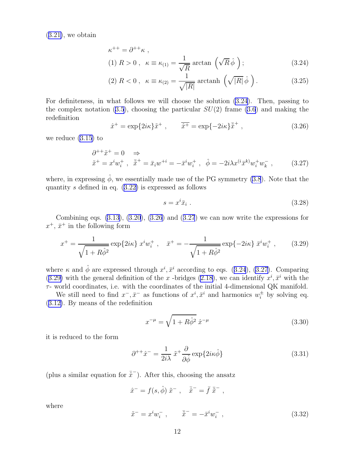<span id="page-12-0"></span> $(3.21)$  $(3.21)$ , we obtain

$$
\kappa^{++} = \partial^{++}\kappa ,
$$
  
(1)  $R > 0$ ,  $\kappa \equiv \kappa_{(1)} = \frac{1}{\sqrt{R}} \arctan\left(\sqrt{R}\hat{\phi}\right);$  (3.24)

(2) 
$$
R < 0
$$
,  $\kappa \equiv \kappa_{(2)} = \frac{1}{\sqrt{|R|}} \operatorname{arctanh} \left( \sqrt{|R|} \hat{\phi} \right)$ . (3.25)

For definiteness, in what follows we will choose the solution (3.24). Then, passing to the complex notation  $(3.5)$ , choosing the particular  $SU(2)$  frame  $(3.6)$  and making the redefinition

$$
\hat{x}^+ = \exp\{2i\kappa\}\tilde{x}^+ , \qquad \overline{\hat{x}^+} = \exp\{-2i\kappa\}\bar{x}^+ , \qquad (3.26)
$$

we reduce([3.15\)](#page-10-0) to

$$
\partial^{++} \tilde{x}^+ = 0 \quad \Rightarrow \n\tilde{x}^+ = x^i w_i^+, \quad \tilde{\bar{x}}^+ = \bar{x}_i w^{+i} = -\bar{x}^i w_i^+, \quad \hat{\phi} = -2i\lambda x^{(i} \bar{x}^k) w_i^+ w_k^-,
$$
\n(3.27)

where, in expressing  $\hat{\phi}$ , we essentially made use of the PG symmetry [\(3.8](#page-10-0)). Note that the quantitys defined in eq.  $(3.22)$  $(3.22)$  is expressed as follows

$$
s = x^i \bar{x}_i \tag{3.28}
$$

Combining eqs.  $(3.13)$ ,  $(3.20)$ ,  $(3.26)$  and  $(3.27)$  we can now write the expressions for  $x^+$ ,  $\bar{x}^+$  in the following form

$$
x^{+} = \frac{1}{\sqrt{1 + R\hat{\phi}^{2}}} \exp\{2i\kappa\} \; x^{i} w_{i}^{+} \; , \quad \bar{x}^{+} = -\frac{1}{\sqrt{1 + R\hat{\phi}^{2}}} \exp\{-2i\kappa\} \; \bar{x}^{i} w_{i}^{+} \; , \tag{3.29}
$$

where  $\kappa$  and  $\hat{\phi}$  are expressed through  $x^i, \bar{x}^i$  according to eqs. (3.24), (3.27). Comparing (3.29)with the general definition of the x-bridges ([2.18\)](#page-4-0), we can identify  $x^i, \bar{x}^i$  with the  $\tau$ - world coordinates, i.e. with the coordinates of the initial 4-dimensional QK manifold.

We still need to find  $x^-$ ,  $\bar{x}^-$  as functions of  $x^i$ ,  $\bar{x}^i$  and harmonics  $w_i^{\pm}$  by solving eq. ([3.12\)](#page-10-0). By means of the redefinition

$$
x^{-\mu} = \sqrt{1 + R\hat{\phi}^2} \hat{x}^{-\mu}
$$
 (3.30)

it is reduced to the form

$$
\partial^{++}\hat{x}^- = \frac{1}{2i\lambda} \tilde{x}^+ \frac{\partial}{\partial \hat{\phi}} \exp\{2i\kappa \hat{\phi}\} \tag{3.31}
$$

(plus a similar equation for  $\bar{\hat{x}}^-$ ). After this, choosing the ansatz

$$
\hat{x}^- = f(s, \hat{\phi}) \tilde{x}^- , \quad \bar{\hat{x}}^- = \bar{f} \tilde{\hat{x}}^- ,
$$

where

$$
\tilde{x}^- = x^i w_i^-, \qquad \tilde{\bar{x}}^- = -\bar{x}^i w_i^-, \qquad (3.32)
$$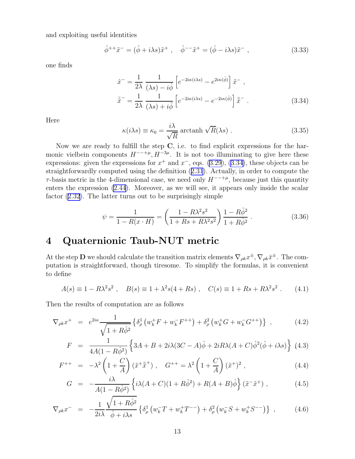<span id="page-13-0"></span>and exploiting useful identities

$$
\hat{\phi}^{++}\tilde{x}^- = (\hat{\phi} + i\lambda s)\tilde{x}^+ \ , \quad \hat{\phi}^{--}\tilde{x}^+ = (\hat{\phi} - i\lambda s)\tilde{x}^- \ , \tag{3.33}
$$

one finds

$$
\hat{x}^{-} = \frac{1}{2\lambda} \frac{1}{(\lambda s) - i\hat{\phi}} \left[ e^{-2i\kappa(i\lambda s)} - e^{2i\kappa(\hat{\phi})} \right] \tilde{x}^{-} ,
$$
  

$$
\bar{\hat{x}}^{-} = \frac{1}{2\lambda} \frac{1}{(\lambda s) + i\hat{\phi}} \left[ e^{-2i\kappa(i\lambda s)} - e^{-2i\kappa(\hat{\phi})} \right] \bar{\tilde{x}}^{-} .
$$
 (3.34)

Here

$$
\kappa(i\lambda s) \equiv \kappa_0 = \frac{i\lambda}{\sqrt{R}} \arctanh\sqrt{R}(\lambda s) . \qquad (3.35)
$$

Now we are ready to fulfill the step  $C$ , i.e. to find explicit expressions for the harmonic vielbein components  $H^{--+\mu}, H^{-3\mu}$ . It is not too illuminating to give here these expressions: given the expressions for  $x^+$  and  $x^-$ , eqs. [\(3.29](#page-12-0)), (3.34), these objects can be straightforwardly computed using the definition([2.31](#page-7-0)). Actually, in order to compute the  $\tau$ -basis metric in the 4-dimensional case, we need only  $H^{--+\mu}$ , because just this quantity enters the expression [\(2.44](#page-8-0)). Moreover, as we will see, it appears only inside the scalar factor [\(2.32](#page-7-0)). The latter turns out to be surprisingly simple

$$
\psi = \frac{1}{1 - R(x \cdot H)} = \left(\frac{1 - R\lambda^2 s^2}{1 + Rs + R\lambda^2 s^2}\right) \frac{1 - R\hat{\phi}^2}{1 + R\hat{\phi}^2}.
$$
\n(3.36)

# 4 Quaternionic Taub-NUT metric

At the step **D** we should calculate the transition matrix elements  $\nabla_{\rho k} x^{\pm}$ ,  $\nabla_{\rho k} \bar{x}^{\pm}$ . The computation is straightforward, though tiresome. To simplify the formulas, it is convenient to define

$$
A(s) \equiv 1 - R\lambda^2 s^2 \ , \quad B(s) \equiv 1 + \lambda^2 s (4 + Rs) \ , \quad C(s) \equiv 1 + Rs + R\lambda^2 s^2 \ . \tag{4.1}
$$

Then the results of computation are as follows

$$
\nabla_{\rho k} x^{+} = e^{2i\kappa} \frac{1}{\sqrt{1+R\hat{\phi}^{2}}} \left\{ \delta_{\rho}^{1} \left( w_{k}^{+} F + w_{k}^{-} F^{++} \right) + \delta_{\rho}^{2} \left( w_{k}^{+} G + w_{k}^{-} G^{++} \right) \right\} , \qquad (4.2)
$$

$$
F = \frac{1}{4A(1 - R\hat{\phi}^2)} \left\{ 3A + B + 2i\lambda(3C - A)\hat{\phi} + 2iR\lambda(A + C)\hat{\phi}^2(\hat{\phi} + i\lambda s) \right\} (4.3)
$$

$$
F^{++} = -\lambda^2 \left(1 + \frac{C}{A}\right) \left(\tilde{x}^+ \tilde{x}^+\right) , \quad G^{++} = \lambda^2 \left(1 + \frac{C}{A}\right) \left(\tilde{x}^+\right)^2 , \tag{4.4}
$$

$$
G = -\frac{i\lambda}{A(1 - R\hat{\phi}^2)} \left\{ i\lambda (A + C)(1 + R\hat{\phi}^2) + R(A + B)\hat{\phi} \right\} (\tilde{x}^- \tilde{x}^+) ,\tag{4.5}
$$

$$
\nabla_{\rho k} x^{-} = -\frac{1}{2i\lambda} \frac{\sqrt{1+R\hat{\phi}^{2}}}{\hat{\phi}+i\lambda s} \left\{ \delta_{\rho}^{1} \left( w_{k}^{-} T + w_{k}^{+} T^{--} \right) + \delta_{\rho}^{2} \left( w_{k}^{-} S + w_{k}^{+} S^{--} \right) \right\} , \tag{4.6}
$$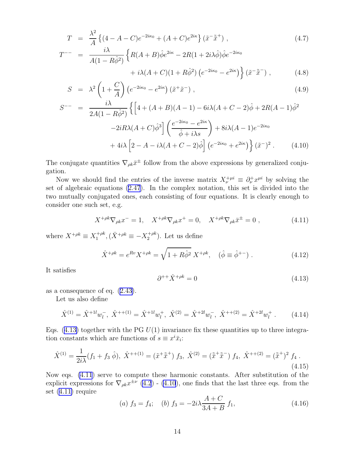<span id="page-14-0"></span>
$$
T = \frac{\lambda^2}{A} \left\{ (4 - A - C)e^{-2i\kappa_0} + (A + C)e^{2i\kappa} \right\} (\tilde{x}^{-\tilde{x}^{+}}) ,
$$
\n
$$
T^{--} = \frac{i\lambda}{A(1 - R\hat{\phi}^{2})} \left\{ R(A + B)\hat{\phi}e^{2i\kappa} - 2R(1 + 2i\lambda\hat{\phi})\hat{\phi}e^{-2i\kappa_0} + i\lambda(A + C)(1 + R\hat{\phi}^{2}) \left( e^{-2i\kappa_0} - e^{2i\kappa} \right) \right\} (\tilde{x}^{-\tilde{x}^{-}}) ,
$$
\n(4.8)

$$
S = \lambda^2 \left( 1 + \frac{C}{A} \right) \left( e^{-2i\kappa_0} - e^{2i\kappa} \right) \left( \tilde{x}^+ \tilde{x}^- \right) , \qquad (4.9)
$$

$$
S^{--} = \frac{i\lambda}{2A(1 - R\hat{\phi}^2)} \left\{ \left[ 4 + (A+B)(A-1) - 6i\lambda(A+C-2)\hat{\phi} + 2R(A-1)\hat{\phi}^2 \right. \right.\left. - 2iR\lambda(A+C)\hat{\phi}^3 \right] \left( \frac{e^{-2i\kappa_0} - e^{2i\kappa}}{\hat{\phi} + i\lambda s} \right) + 8i\lambda(A-1)e^{-2i\kappa_0} \left. + 4i\lambda \left[ 2 - A - i\lambda(A+C-2)\hat{\phi} \right] \left( e^{-2i\kappa_0} + e^{2i\kappa} \right) \right\} (\tilde{x}^-)^2. \tag{4.10}
$$

The conjugate quantities  $\nabla_{\rho k}\bar{x}^{\pm}$  follow from the above expressions by generalized conjugation.

Now we should find the entries of the inverse matrix  $X_{\nu}^{+\mu i} \equiv \partial_{\nu}^{+} x^{\mu i}$  by solving the set of algebraic equations [\(2.47](#page-8-0)). In the complex notation, this set is divided into the two mutually conjugated ones, each consisting of four equations. It is clearly enough to consider one such set, e.g.

$$
X^{+\rho k} \nabla_{\rho k} x^{-} = 1, \quad X^{+\rho k} \nabla_{\rho k} x^{+} = 0, \quad X^{+\rho k} \nabla_{\rho k} \bar{x}^{\pm} = 0 \tag{4.11}
$$

where  $X^{+\rho k} \equiv X_1^{+\rho k}$  $i_1^{+\rho k}, (\bar{X}^{+\rho k} \equiv -X_2^{+\rho k})$  $2^{+\rho\kappa}$ ). Let us define

$$
\hat{X}^{+\rho k} = e^{Rv} X^{+\rho k} = \sqrt{1 + R\hat{\phi}^2} X^{+\rho k}, \quad (\hat{\phi} \equiv \hat{\phi}^{+-}) . \tag{4.12}
$$

It satisfies

$$
\partial^{++}\hat{X}^{+\rho k} = 0\tag{4.13}
$$

as a consequence of eq.([2.43\)](#page-8-0).

Let us also define

$$
\hat{X}^{(1)} = \hat{X}^{+1l} w_l^-, \ \hat{X}^{++(1)} = \hat{X}^{+1l} w_l^+, \ \hat{X}^{(2)} = \hat{X}^{+2l} w_l^-, \ \hat{X}^{++(2)} = \hat{X}^{+2l} w_l^+ \ . \tag{4.14}
$$

Eqs.  $(4.13)$  together with the PG  $U(1)$  invariance fix these quantities up to three integration constants which are functions of  $s \equiv x^i \bar{x}_i$ :

$$
\hat{X}^{(1)} = \frac{1}{2i\lambda} (f_1 + f_3 \hat{\phi}), \ \hat{X}^{++(1)} = (\tilde{x}^+ \tilde{\bar{x}}^+) \ f_3, \ \hat{X}^{(2)} = (\tilde{\bar{x}}^+ \tilde{\bar{x}}^-) \ f_4, \ \hat{X}^{++(2)} = (\tilde{\bar{x}}^+)^2 \ f_4 \ . \tag{4.15}
$$

Now eqs. (4.11) serve to compute these harmonic constants. After substitution of the explicit expressions for  $\nabla_{\rho k} x^{\pm \nu}$  [\(4.2](#page-13-0)) - [\(4.10](#page-13-0)), one finds that the last three eqs. from the set (4.11) require

(a) 
$$
f_3 = f_4
$$
; (b)  $f_3 = -2i\lambda \frac{A+C}{3A+B} f_1$ , (4.16)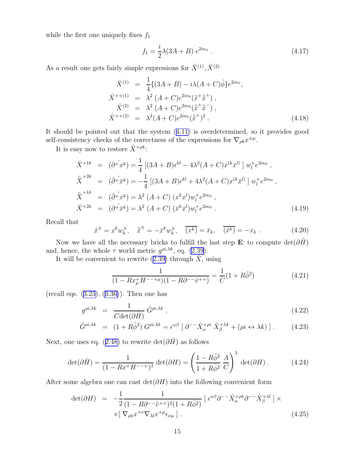while the first one uniquely fixes  $f_1$ 

$$
f_1 = \frac{i}{2}\lambda(3A + B) e^{2i\kappa_0} \ . \tag{4.17}
$$

As a result one gets fairly simple expressions for  $\hat{X}^{(1)}$ ,  $\hat{X}^{(2)}$ 

$$
\hat{X}^{(1)} = \frac{1}{4} \{ (3A + B) - i\lambda (A + C) \hat{\phi} \} e^{2i\kappa_0},
$$
\n
$$
\hat{X}^{(2)} = \lambda^2 (A + C) e^{2i\kappa_0} (\tilde{x}^+ \tilde{\tilde{x}}^+),
$$
\n
$$
\hat{X}^{(2)} = \lambda^2 (A + C) e^{2i\kappa_0} (\tilde{\tilde{x}}^+ \tilde{\tilde{x}}^-),
$$
\n
$$
\hat{X}^{(2)} = \lambda^2 (A + C) e^{2i\kappa_0} (\tilde{\tilde{x}}^+)^2.
$$
\n(4.18)

It should be pointed out that the system([4.11\)](#page-14-0) is overdetermined, so it provides good self-consistency checks of the correctness of the expressions for  $\nabla_{\rho k} x^{\pm \mu}$ .

It is easy now to restore  $\hat{X}^{+\rho k}$ :

$$
\hat{X}^{+1k} = (\partial^{\hat{+}} x^k) = \frac{1}{4} [(3A + B)\epsilon^{kl} - 4\lambda^2 (A + C)x^{(k}\bar{x}^{l)}] w_l^+ e^{2i\kappa_0} ,
$$
  
\n
$$
\hat{\bar{X}}^{+2k} = (\bar{\partial}^{\hat{+}} \bar{x}^k) = -\frac{1}{4} [(3A + B)\epsilon^{kl} + 4\lambda^2 (A + C)x^{(k}\bar{x}^l)] w_l^+ e^{2i\kappa_0} ,
$$
  
\n
$$
\hat{\bar{X}}^{+1k} = (\bar{\partial}^{\hat{+}} x^k) = \lambda^2 (A + C) (x^k x^l) w_l^+ e^{2i\kappa_0} ,
$$
  
\n
$$
\hat{X}^{+2k} = (\partial^{\hat{+}} \bar{x}^k) = \lambda^2 (A + C) (\bar{x}^k \bar{x}^l) w_l^+ e^{2i\kappa_0} .
$$
\n(4.19)

Recall that

$$
\tilde{x}^{\pm} = x^k w_k^{\pm}, \quad \tilde{\bar{x}}^{\pm} = -\bar{x}^k w_k^{\pm}, \quad \overline{(x^k)} = \bar{x}_k, \quad \overline{(\bar{x}^k)} = -x_k . \tag{4.20}
$$

Now we have all the necessary bricks to fulfill the last step E: to compute  $\det(\partial \hat{H})$ and, hence, the whole  $\tau$  world metric  $g^{\rho i, \lambda k}$ , eq. [\(2.39](#page-8-0)).

Itwill be convenient to rewrite  $(2.39)$  $(2.39)$  through  $\ddot{X}$ , using

$$
\frac{1}{(1 - Rx_{\mu}^{+}H^{--+\mu})(1 - R\partial^{--}\tilde{v}^{++})} = \frac{1}{C}(1 + R\hat{\phi}^{2})
$$
(4.21)

(recall eqs.([3.23\)](#page-11-0),([3.36\)](#page-13-0)). Then one has

$$
g^{\rho i, \lambda k} = \frac{1}{C \det(\partial \hat{H})} \hat{G}^{\rho i, \lambda k}, \qquad (4.22)
$$

$$
\hat{G}^{\rho i, \lambda k} = (1 + R\hat{\phi}^2) G^{\rho i, \lambda k} = \epsilon^{\omega \beta} \left[ \partial^{-\tilde{\chi}} \hat{X}_{\omega}^{+\rho i} \hat{X}_{\beta}^{+\lambda k} + (\rho i \leftrightarrow \lambda k) \right]. \tag{4.23}
$$

Next,one uses eq. ([2.48\)](#page-8-0) to rewrite det( $\partial \hat{H}$ ) as follows

$$
\det(\partial \hat{H}) = \frac{1}{(1 - Rx^+H^{--+})^3} \det(\partial H) = \left(\frac{1 - R\hat{\phi}^2}{1 + R\hat{\phi}^2} \frac{A}{C}\right)^3 \det(\partial H) . \tag{4.24}
$$

After some algebra one can cast det( $\partial H$ ) into the following convenient form

$$
\det(\partial H) = -\frac{1}{2} \frac{1}{(1 - R\partial^{-1} \tilde{v}^{++})^2 (1 + R\hat{\phi}^2)} \left[ \epsilon^{\alpha\beta} \partial^{-1} \hat{X}_{\alpha}^{+\rho k} \partial^{-1} \hat{X}_{\beta}^{+\lambda l} \right] \times \times \left[ \nabla_{\rho k} x^{+\nu} \nabla_{\lambda l} x^{+\mu} \epsilon_{\nu \mu} \right]. \tag{4.25}
$$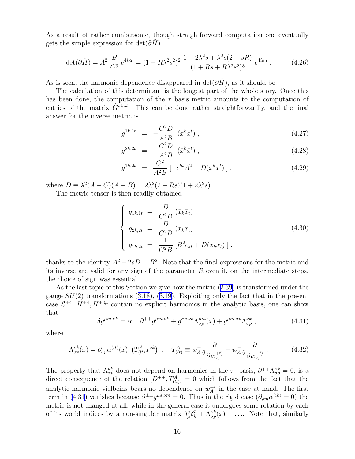<span id="page-16-0"></span>As a result of rather cumbersome, though straightforward computation one eventually gets the simple expression for  $det(\partial H)$ 

$$
\det(\partial \hat{H}) = A^2 \frac{B}{C^3} e^{4i\kappa_0} = (1 - R\lambda^2 s^2)^2 \frac{1 + 2\lambda^2 s + \lambda^2 s (2 + sR)}{(1 + Rs + R\lambda^2 s^2)^3} e^{4i\kappa_0}.
$$
 (4.26)

As is seen, the harmonic dependence disappeared in  $\det(\partial \hat{H})$ , as it should be.

The calculation of this determinant is the longest part of the whole story. Once this has been done, the computation of the  $\tau$  basis metric amounts to the computation of entries of the matrix  $\hat{G}^{\rho i, \lambda l}$ . This can be done rather straightforwardly, and the final answer for the inverse metric is

$$
g^{1k,1t} = -\frac{C^2 D}{A^2 B} (x^k x^t), \qquad (4.27)
$$

$$
g^{2k,2t} = -\frac{C^2 D}{A^2 B} (\bar{x}^k \bar{x}^t), \qquad (4.28)
$$

$$
g^{1k,2t} = \frac{C^2}{A^2B} \left[ -\epsilon^{kt} A^2 + D(x^k \bar{x}^t) \right],
$$
 (4.29)

where  $D \equiv \lambda^2 (A + C)(A + B) = 2\lambda^2 (2 + Rs)(1 + 2\lambda^2 s).$ 

The metric tensor is then readily obtained

$$
\begin{cases}\n g_{1k,1t} = \frac{D}{C^2 B} (\bar{x}_k \bar{x}_t), \\
 g_{2k,2t} = \frac{D}{C^2 B} (x_k x_t), \\
 g_{1k,2t} = \frac{1}{C^2 B} [B^2 \epsilon_{kt} + D(\bar{x}_k x_t)],\n\end{cases} (4.30)
$$

thanks to the identity  $A^2 + 2sD = B^2$ . Note that the final expressions for the metric and its inverse are valid for any sign of the parameter  $R$  even if, on the intermediate steps, the choice of sign was essential.

As the last topic of this Section we give how the metric([2.39\)](#page-8-0) is transformed under the gauge $SU(2)$  transformations ([3.18\)](#page-11-0), ([3.19\)](#page-11-0). Exploiting only the fact that in the present case  $\mathcal{L}^{+4}$ ,  $H^{+4}$ ,  $H^{+3\mu}$  contain no explicit harmonics in the analytic basis, one can show that

$$
\delta g^{\mu m \nu k} = \alpha^{-1} \partial^{++} g^{\mu m \nu k} + g^{\sigma p \nu k} \Lambda_{\sigma p}^{\mu m} (x) + g^{\mu m \sigma p} \Lambda_{\sigma p}^{\nu k} , \qquad (4.31)
$$

where

$$
\Lambda_{\sigma p}^{\nu k}(x) = \partial_{\sigma p} \alpha^{(lt)}(x) \left( T_{(lt)}^A x^{\nu k} \right) , \quad T_{(lt)}^A \equiv w_A^+ \left( i \frac{\partial}{\partial w_A^{+t}} \right) + w_A^- \left( i \frac{\partial}{\partial w_A^{-t}} \right) . \tag{4.32}
$$

The property that  $\Lambda_{\sigma p}^{\nu k}$  does not depend on harmonics in the  $\tau$ -basis,  $\partial^{++}\Lambda_{\sigma p}^{\nu k}=0$ , is a direct consequence of the relation  $[D^{++}, T^A_{(lt)}] = 0$  which follows from the fact that the analytic harmonic vielbeins bears no dependence on  $w_A^{\pm i}$  $_A^{\pm i}$  in the case at hand. The first term in (4.31) vanishes because  $\partial^{\pm\pm}g^{\mu s \ \nu m}=0$ . Thus in the rigid case  $(\partial_{\rho m}\alpha^{(ik)}=0)$  the metric is not changed at all, while in the general case it undergoes some rotation by each of its world indices by a non-singular matrix  $\delta_\mu^\sigma \delta_k^p + \Lambda_{\sigma p}^{\nu k}(x) + \ldots$  Note that, similarly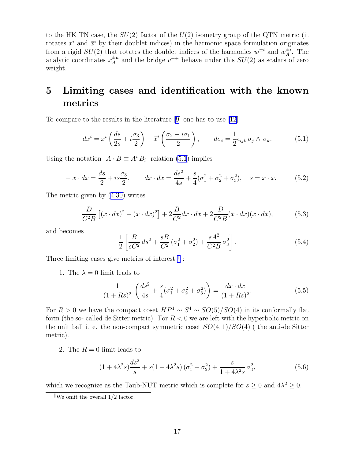to the HK TN case, the  $SU(2)$  factor of the  $U(2)$  isometry group of the QTN metric (it rotates  $x^i$  and  $\bar{x}^i$  by their doublet indices) in the harmonic space formulation originates from a rigid  $SU(2)$  that rotates the doublet indices of the harmonics  $w^{\pm i}$  and  $w^{\pm i}$  $_A^{\pm i}$ . The analytic coordinates  $x_A^{\pm \mu}$  $A^{\pm \mu}$  and the bridge  $v^{++}$  behave under this  $SU(2)$  as scalars of zero weight.

# 5 Limiting cases and identification with the known metrics

To compare to the results in the literature [\[9](#page-20-0)] one has to use [\[12](#page-20-0)]

$$
dx^{i} = x^{i} \left( \frac{ds}{2s} + i \frac{\sigma_{3}}{2} \right) - \bar{x}^{i} \left( \frac{\sigma_{2} - i \sigma_{1}}{2} \right), \qquad d\sigma_{i} = \frac{1}{2} \epsilon_{ijk} \sigma_{j} \wedge \sigma_{k}.
$$
 (5.1)

Using the notation  $A \cdot B \equiv A^i B_i$  relation (5.1) implies

$$
-\bar{x} \cdot dx = \frac{ds}{2} + is\frac{\sigma_3}{2}, \qquad dx \cdot d\bar{x} = \frac{ds^2}{4s} + \frac{s}{4}(\sigma_1^2 + \sigma_2^2 + \sigma_3^2), \quad s = x \cdot \bar{x}.\tag{5.2}
$$

The metric given by([4.30\)](#page-16-0) writes

$$
\frac{D}{C^2B}\left[ (\bar{x} \cdot dx)^2 + (x \cdot d\bar{x})^2 \right] + 2\frac{B}{C^2}dx \cdot d\bar{x} + 2\frac{D}{C^2B}(\bar{x} \cdot dx)(x \cdot d\bar{x}),\tag{5.3}
$$

and becomes

$$
\frac{1}{2} \left[ \frac{B}{sC^2} ds^2 + \frac{sB}{C^2} (\sigma_1^2 + \sigma_2^2) + \frac{sA^2}{C^2 B} \sigma_3^2 \right].
$$
\n(5.4)

Three limiting cases give metrics of interest  $\mathbb{I}$ :

1. The  $\lambda = 0$  limit leads to

$$
\frac{1}{(1+Rs)^2} \left( \frac{ds^2}{4s} + \frac{s}{4} (\sigma_1^2 + \sigma_2^2 + \sigma_3^2) \right) = \frac{dx \cdot d\bar{x}}{(1+Rs)^2}.
$$
 (5.5)

For  $R > 0$  we have the compact coset  $HP<sup>1</sup> \sim S<sup>4</sup> \sim SO(5)/SO(4)$  in its conformally flat form (the so- called de Sitter metric). For  $R < 0$  we are left with the hyperbolic metric on the unit ball i. e. the non-compact symmetric coset  $SO(4,1)/SO(4)$  (the anti-de Sitter metric).

2. The  $R = 0$  limit leads to

$$
(1+4\lambda^2 s)\frac{ds^2}{s} + s(1+4\lambda^2 s)\left(\sigma_1^2 + \sigma_2^2\right) + \frac{s}{1+4\lambda^2 s}\sigma_3^2,\tag{5.6}
$$

which we recognize as the Taub-NUT metric which is complete for  $s \geq 0$  and  $4\lambda^2 \geq 0$ .

We omit the overall  $1/2$  factor.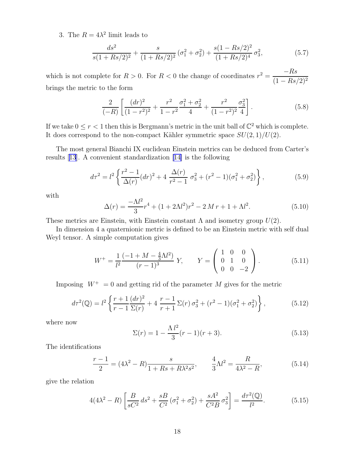<span id="page-18-0"></span>3. The  $R = 4\lambda^2$  limit leads to

$$
\frac{ds^2}{s(1+Rs/2)^2} + \frac{s}{(1+Rs/2)^2} \left(\sigma_1^2 + \sigma_2^2\right) + \frac{s(1-Rs/2)^2}{(1+Rs/2)^4} \sigma_3^2,\tag{5.7}
$$

which is not complete for  $R > 0$ . For  $R < 0$  the change of coordinates  $r^2 = \frac{-Rs}{(1 - R)^2}$  $(1 - Rs/2)^2$ brings the metric to the form

$$
\frac{2}{(-R)}\left[\frac{(dr)^2}{(1-r^2)^2} + \frac{r^2}{1-r^2}\frac{\sigma_1^2 + \sigma_2^2}{4} + \frac{r^2}{(1-r^2)^2}\frac{\sigma_3^2}{4}\right].
$$
\n(5.8)

If we take  $0 \le r < 1$  then this is Bergmann's metric in the unit ball of  $\mathbb{C}^2$  which is complete. It does correspond to the non-compact Kähler symmetric space  $SU(2,1)/U(2)$ .

The most general Bianchi IX euclidean Einstein metrics can be deduced from Carter's results[[13](#page-20-0)]. A convenient standardization[[14\]](#page-20-0) is the following

$$
d\tau^2 = l^2 \left\{ \frac{r^2 - 1}{\Delta(r)} (dr)^2 + 4 \frac{\Delta(r)}{r^2 - 1} \sigma_3^2 + (r^2 - 1)(\sigma_1^2 + \sigma_2^2) \right\},\tag{5.9}
$$

with

$$
\Delta(r) = \frac{-\Lambda l^2}{3}r^4 + (1 + 2\Lambda l^2)r^2 - 2Mr + 1 + \Lambda l^2.
$$
 (5.10)

These metrics are Einstein, with Einstein constant  $\Lambda$  and isometry group  $U(2)$ .

In dimension 4 a quaternionic metric is defined to be an Einstein metric with self dual Weyl tensor. A simple computation gives

$$
W^{+} = \frac{1}{l^{2}} \frac{(-1 + M - \frac{4}{3}M^{2})}{(r - 1)^{3}} Y, \qquad Y = \begin{pmatrix} 1 & 0 & 0 \\ 0 & 1 & 0 \\ 0 & 0 & -2 \end{pmatrix}.
$$
 (5.11)

Imposing  $W^+ = 0$  and getting rid of the parameter M gives for the metric

$$
d\tau^{2}(\mathbb{Q}) = l^{2} \left\{ \frac{r+1}{r-1} \frac{(dr)^{2}}{\Sigma(r)} + 4 \frac{r-1}{r+1} \Sigma(r) \sigma_{3}^{2} + (r^{2} - 1)(\sigma_{1}^{2} + \sigma_{2}^{2}) \right\},
$$
\n(5.12)

where now

$$
\Sigma(r) = 1 - \frac{\Lambda l^2}{3} (r - 1)(r + 3). \tag{5.13}
$$

The identifications

$$
\frac{r-1}{2} = (4\lambda^2 - R)\frac{s}{1 + Rs + R\lambda^2 s^2}, \qquad \frac{4}{3}\Lambda l^2 = \frac{R}{4\lambda^2 - R},
$$
(5.14)

give the relation

$$
4(4\lambda^2 - R) \left[ \frac{B}{sC^2} ds^2 + \frac{sB}{C^2} (\sigma_1^2 + \sigma_2^2) + \frac{sA^2}{C^2 B} \sigma_3^2 \right] = \frac{d\tau^2(\mathbb{Q})}{l^2}.
$$
 (5.15)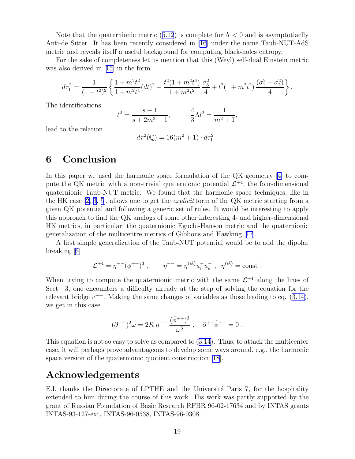Notethat the quaternionic metric ([5.12](#page-18-0)) is complete for  $\Lambda < 0$  and is asymptotiaclly Anti-de Sitter. It has been recently considered in[[16](#page-20-0)] under the name Taub-NUT-AdS metric and reveals itself a useful background for computing black-holes entropy.

For the sake of completeness let us mention that this (Weyl) self-dual Einstein metric was also derived in[[15\]](#page-20-0) in the form

$$
d\tau_1^2 = \frac{1}{(1-t^2)^2} \left\{ \frac{1+m^2t^2}{1+m^2t^4} (dt)^2 + \frac{t^2(1+m^2t^4)}{1+m^2t^2} \frac{\sigma_3^2}{4} + t^2(1+m^2t^2) \frac{(\sigma_1^2+\sigma_2^2)}{4} \right\}.
$$

The identifications

$$
t^{2} = \frac{s-1}{s+2m^{2}+1}, \qquad -\frac{4}{3}\Lambda l^{2} = \frac{1}{m^{2}+1},
$$

lead to the relation

$$
d\tau^2(\mathbb{Q}) = 16(m^2 + 1) \cdot d\tau_1^2.
$$

#### 6 Conclusion

In this paper we used the harmonic space formulation of the QK geometry [\[4\]](#page-20-0) to compute the QK metric with a non-trivial quaternionic potential  $\mathcal{L}^{+4}$ , the four-dimensional quaternionic Taub-NUT metric. We found that the harmonic space techniques, like in the HK case  $[2, 3, 5]$ , allows one to get the *explicit* form of the QK metric starting from a given QK potential and following a generic set of rules. It would be interesting to apply this approach to find the QK analogs of some other interesting 4- and higher-dimensional HK metrics, in particular, the quaternionic Eguchi-Hanson metric and the quaternionic generalization of the multicentre metrics of Gibbons and Hawking[[17](#page-20-0)].

A first simple generalization of the Taub-NUT potential would be to add the dipolar breaking [\[6\]](#page-20-0)

$$
\mathcal{L}^{+4} = \eta^{--} (\phi^{++})^3 , \qquad \eta^{--} = \eta^{(ik)} u_i^- u_k^-, \ \eta^{(ik)} = \text{const} .
$$

When trying to compute the quaternionic metric with the same  $\mathcal{L}^{+4}$  along the lines of Sect. 3, one encounters a difficulty already at the step of solving the equation for the relevantbridge  $v^{++}$ . Making the same changes of variables as those leading to eq.  $(3.14)$  $(3.14)$ , we get in this case

$$
(\partial^{++})^2 \omega = 2R \eta^{-} \frac{(\hat{\phi}^{++})^3}{\omega^5} , \quad \partial^{++} \hat{\phi}^{++} = 0 .
$$

This equation is not so easy to solve as compared to([3.14\)](#page-10-0). Thus, to attack the multicenter case, it will perhaps prove advantageous to develop some ways around, e.g., the harmonic space version of the quaternionic quotient construction [\[18](#page-20-0)].

## Acknowledgements

E.I. thanks the Directorate of LPTHE and the Université Paris 7, for the hospitality extended to him during the course of this work. His work was partly supported by the grant of Russian Foundation of Basic Research RFBR 96-02-17634 and by INTAS grants INTAS-93-127-ext, INTAS-96-0538, INTAS-96-0308.